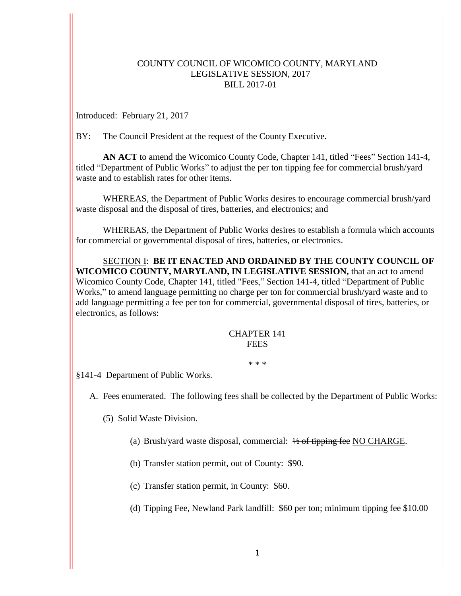## COUNTY COUNCIL OF WICOMICO COUNTY, MARYLAND LEGISLATIVE SESSION, 2017 BILL 2017-01

Introduced: February 21, 2017

BY: The Council President at the request of the County Executive.

**AN ACT** to amend the Wicomico County Code, Chapter 141, titled "Fees" Section 141-4, titled "Department of Public Works" to adjust the per ton tipping fee for commercial brush/yard waste and to establish rates for other items.

WHEREAS, the Department of Public Works desires to encourage commercial brush/yard waste disposal and the disposal of tires, batteries, and electronics; and

WHEREAS, the Department of Public Works desires to establish a formula which accounts for commercial or governmental disposal of tires, batteries, or electronics.

SECTION I: **BE IT ENACTED AND ORDAINED BY THE COUNTY COUNCIL OF WICOMICO COUNTY, MARYLAND, IN LEGISLATIVE SESSION,** that an act to amend Wicomico County Code, Chapter 141, titled "Fees," Section 141-4, titled "Department of Public Works," to amend language permitting no charge per ton for commercial brush/yard waste and to add language permitting a fee per ton for commercial, governmental disposal of tires, batteries, or electronics, as follows:

## CHAPTER 141 **FEES**

\* \* \*

§141-4 Department of Public Works.

A. Fees enumerated. The following fees shall be collected by the Department of Public Works:

(5) Solid Waste Division.

- (a) Brush/yard waste disposal, commercial:  $\frac{1}{2}$  of tipping fee NO CHARGE.
- (b) Transfer station permit, out of County: \$90.
- (c) Transfer station permit, in County: \$60.
- (d) Tipping Fee, Newland Park landfill: \$60 per ton; minimum tipping fee \$10.00